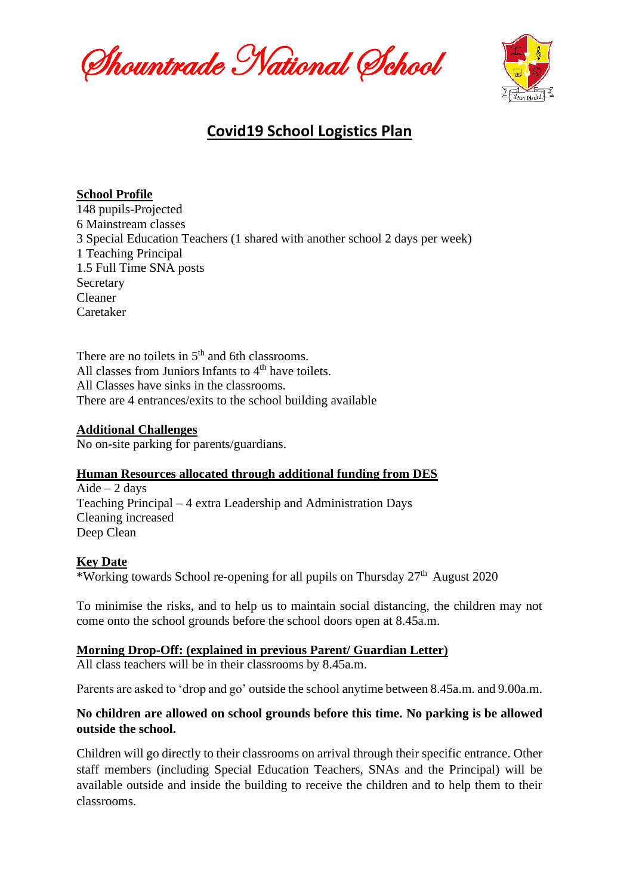Shountrade National School



# **Covid19 School Logistics Plan**

### **School Profile**

148 pupils-Projected 6 Mainstream classes 3 Special Education Teachers (1 shared with another school 2 days per week) 1 Teaching Principal 1.5 Full Time SNA posts Secretary Cleaner Caretaker

There are no toilets in  $5<sup>th</sup>$  and 6th classrooms. All classes from Juniors Infants to  $4<sup>th</sup>$  have toilets. All Classes have sinks in the classrooms. There are 4 entrances/exits to the school building available

#### **Additional Challenges**

No on-site parking for parents/guardians.

#### **Human Resources allocated through additional funding from DES**

Aide  $-2$  days Teaching Principal – 4 extra Leadership and Administration Days Cleaning increased Deep Clean

#### **Key Date**

\*Working towards School re-opening for all pupils on Thursday  $27<sup>th</sup>$  August 2020

To minimise the risks, and to help us to maintain social distancing, the children may not come onto the school grounds before the school doors open at 8.45a.m.

#### **Morning Drop-Off: (explained in previous Parent/ Guardian Letter)**

All class teachers will be in their classrooms by 8.45a.m.

Parents are asked to 'drop and go' outside the school anytime between 8.45a.m. and 9.00a.m.

# **No children are allowed on school grounds before this time. No parking is be allowed outside the school.**

Children will go directly to their classrooms on arrival through their specific entrance. Other staff members (including Special Education Teachers, SNAs and the Principal) will be available outside and inside the building to receive the children and to help them to their classrooms.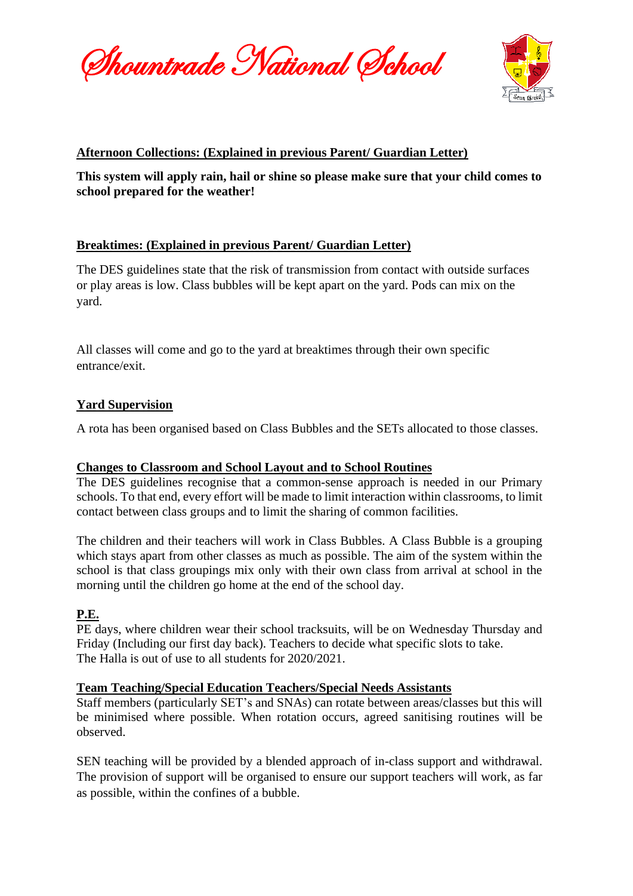Shountrade National School



# **Afternoon Collections: (Explained in previous Parent/ Guardian Letter)**

**This system will apply rain, hail or shine so please make sure that your child comes to school prepared for the weather!**

# **Breaktimes: (Explained in previous Parent/ Guardian Letter)**

The DES guidelines state that the risk of transmission from contact with outside surfaces or play areas is low. Class bubbles will be kept apart on the yard. Pods can mix on the yard.

All classes will come and go to the yard at breaktimes through their own specific entrance/exit.

# **Yard Supervision**

A rota has been organised based on Class Bubbles and the SETs allocated to those classes.

# **Changes to Classroom and School Layout and to School Routines**

The DES guidelines recognise that a common-sense approach is needed in our Primary schools. To that end, every effort will be made to limit interaction within classrooms, to limit contact between class groups and to limit the sharing of common facilities.

The children and their teachers will work in Class Bubbles. A Class Bubble is a grouping which stays apart from other classes as much as possible. The aim of the system within the school is that class groupings mix only with their own class from arrival at school in the morning until the children go home at the end of the school day.

# **P.E.**

PE days, where children wear their school tracksuits, will be on Wednesday Thursday and Friday (Including our first day back). Teachers to decide what specific slots to take. The Halla is out of use to all students for 2020/2021.

# **Team Teaching/Special Education Teachers/Special Needs Assistants**

Staff members (particularly SET's and SNAs) can rotate between areas/classes but this will be minimised where possible. When rotation occurs, agreed sanitising routines will be observed.

SEN teaching will be provided by a blended approach of in-class support and withdrawal. The provision of support will be organised to ensure our support teachers will work, as far as possible, within the confines of a bubble.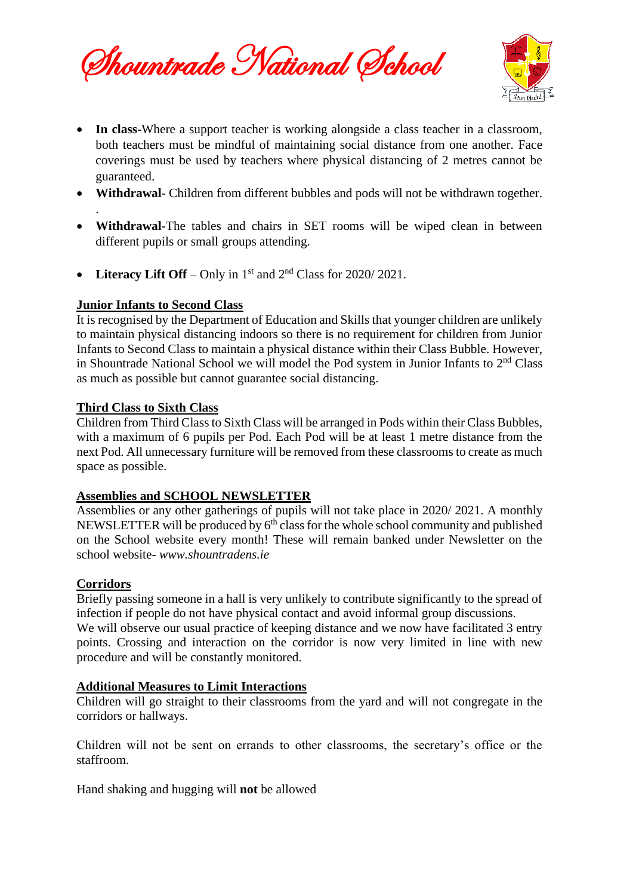Shountrade National School



- **In class-**Where a support teacher is working alongside a class teacher in a classroom, both teachers must be mindful of maintaining social distance from one another. Face coverings must be used by teachers where physical distancing of 2 metres cannot be guaranteed.
- **Withdrawal** Children from different bubbles and pods will not be withdrawn together.
- **Withdrawal**-The tables and chairs in SET rooms will be wiped clean in between different pupils or small groups attending.
- **Literacy Lift Off** Only in 1<sup>st</sup> and 2<sup>nd</sup> Class for 2020/2021.

### **Junior Infants to Second Class**

It is recognised by the Department of Education and Skills that younger children are unlikely to maintain physical distancing indoors so there is no requirement for children from Junior Infants to Second Class to maintain a physical distance within their Class Bubble. However, in Shountrade National School we will model the Pod system in Junior Infants to 2nd Class as much as possible but cannot guarantee social distancing.

### **Third Class to Sixth Class**

Children from Third Class to Sixth Class will be arranged in Pods within their Class Bubbles, with a maximum of 6 pupils per Pod. Each Pod will be at least 1 metre distance from the next Pod. All unnecessary furniture will be removed from these classrooms to create as much space as possible.

#### **Assemblies and SCHOOL NEWSLETTER**

Assemblies or any other gatherings of pupils will not take place in 2020/ 2021. A monthly NEWSLETTER will be produced by 6<sup>th</sup> class for the whole school community and published on the School website every month! These will remain banked under Newsletter on the school website- *www.shountradens.ie*

#### **Corridors**

.

Briefly passing someone in a hall is very unlikely to contribute significantly to the spread of infection if people do not have physical contact and avoid informal group discussions. We will observe our usual practice of keeping distance and we now have facilitated 3 entry points. Crossing and interaction on the corridor is now very limited in line with new procedure and will be constantly monitored.

#### **Additional Measures to Limit Interactions**

Children will go straight to their classrooms from the yard and will not congregate in the corridors or hallways.

Children will not be sent on errands to other classrooms, the secretary's office or the staffroom.

Hand shaking and hugging will **not** be allowed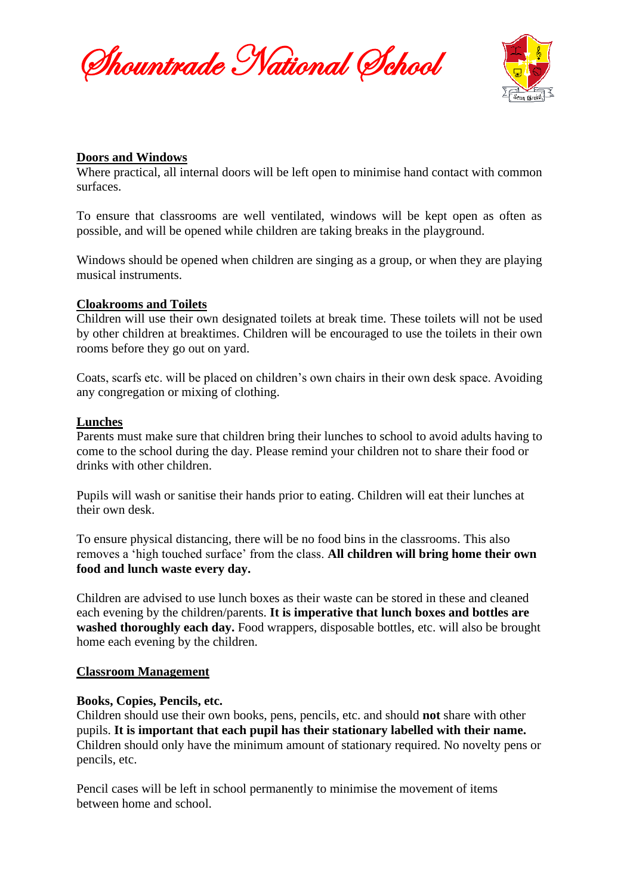Shountrade National School



#### **Doors and Windows**

Where practical, all internal doors will be left open to minimise hand contact with common surfaces.

To ensure that classrooms are well ventilated, windows will be kept open as often as possible, and will be opened while children are taking breaks in the playground.

Windows should be opened when children are singing as a group, or when they are playing musical instruments.

### **Cloakrooms and Toilets**

Children will use their own designated toilets at break time. These toilets will not be used by other children at breaktimes. Children will be encouraged to use the toilets in their own rooms before they go out on yard.

Coats, scarfs etc. will be placed on children's own chairs in their own desk space. Avoiding any congregation or mixing of clothing.

#### **Lunches**

Parents must make sure that children bring their lunches to school to avoid adults having to come to the school during the day. Please remind your children not to share their food or drinks with other children.

Pupils will wash or sanitise their hands prior to eating. Children will eat their lunches at their own desk.

To ensure physical distancing, there will be no food bins in the classrooms. This also removes a 'high touched surface' from the class. **All children will bring home their own food and lunch waste every day.**

Children are advised to use lunch boxes as their waste can be stored in these and cleaned each evening by the children/parents. **It is imperative that lunch boxes and bottles are washed thoroughly each day.** Food wrappers, disposable bottles, etc. will also be brought home each evening by the children.

#### **Classroom Management**

#### **Books, Copies, Pencils, etc.**

Children should use their own books, pens, pencils, etc. and should **not** share with other pupils. **It is important that each pupil has their stationary labelled with their name.** Children should only have the minimum amount of stationary required. No novelty pens or pencils, etc.

Pencil cases will be left in school permanently to minimise the movement of items between home and school.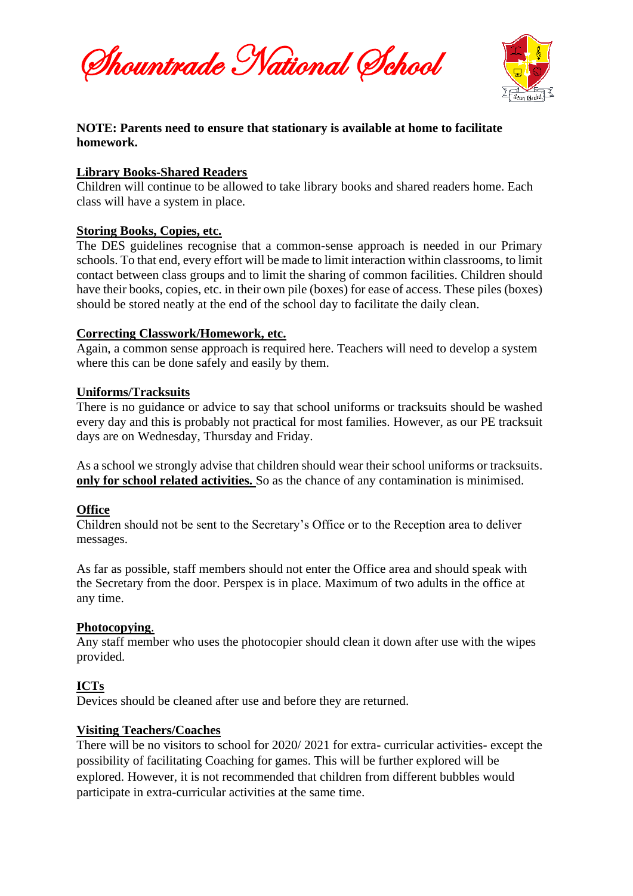Shountrade National School



# **NOTE: Parents need to ensure that stationary is available at home to facilitate homework.**

### **Library Books-Shared Readers**

Children will continue to be allowed to take library books and shared readers home. Each class will have a system in place.

# **Storing Books, Copies, etc.**

The DES guidelines recognise that a common-sense approach is needed in our Primary schools. To that end, every effort will be made to limit interaction within classrooms, to limit contact between class groups and to limit the sharing of common facilities. Children should have their books, copies, etc. in their own pile (boxes) for ease of access. These piles (boxes) should be stored neatly at the end of the school day to facilitate the daily clean.

### **Correcting Classwork/Homework, etc.**

Again, a common sense approach is required here. Teachers will need to develop a system where this can be done safely and easily by them.

### **Uniforms/Tracksuits**

There is no guidance or advice to say that school uniforms or tracksuits should be washed every day and this is probably not practical for most families. However, as our PE tracksuit days are on Wednesday, Thursday and Friday.

As a school we strongly advise that children should wear their school uniforms or tracksuits. **only for school related activities.** So as the chance of any contamination is minimised.

# **Office**

Children should not be sent to the Secretary's Office or to the Reception area to deliver messages.

As far as possible, staff members should not enter the Office area and should speak with the Secretary from the door. Perspex is in place. Maximum of two adults in the office at any time.

# **Photocopying**.

Any staff member who uses the photocopier should clean it down after use with the wipes provided.

# **ICTs**

Devices should be cleaned after use and before they are returned.

# **Visiting Teachers/Coaches**

There will be no visitors to school for 2020/ 2021 for extra- curricular activities- except the possibility of facilitating Coaching for games. This will be further explored will be explored. However, it is not recommended that children from different bubbles would participate in extra-curricular activities at the same time.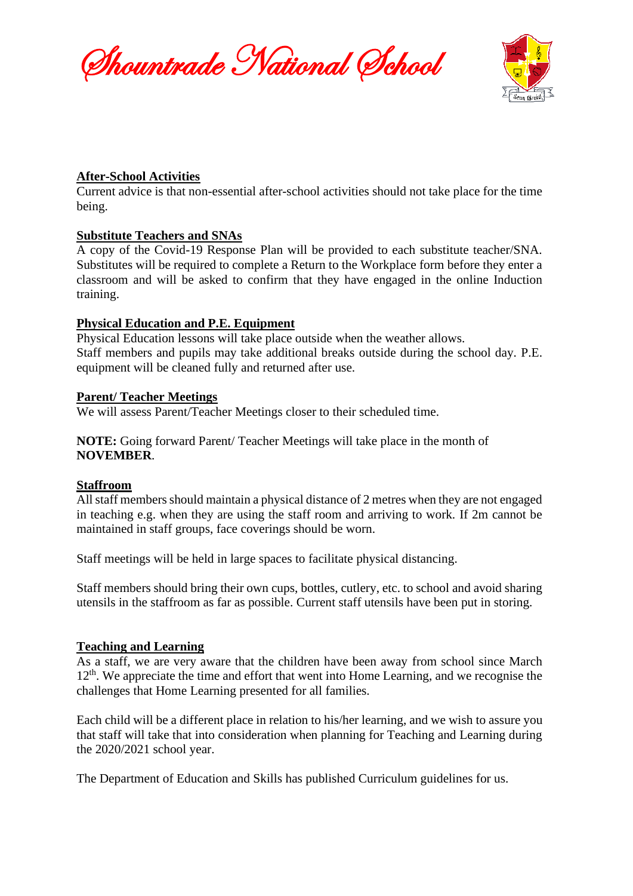Shountrade National School



### **After-School Activities**

Current advice is that non-essential after-school activities should not take place for the time being.

### **Substitute Teachers and SNAs**

A copy of the Covid-19 Response Plan will be provided to each substitute teacher/SNA. Substitutes will be required to complete a Return to the Workplace form before they enter a classroom and will be asked to confirm that they have engaged in the online Induction training.

### **Physical Education and P.E. Equipment**

Physical Education lessons will take place outside when the weather allows. Staff members and pupils may take additional breaks outside during the school day. P.E. equipment will be cleaned fully and returned after use.

#### **Parent/ Teacher Meetings**

We will assess Parent/Teacher Meetings closer to their scheduled time.

**NOTE:** Going forward Parent/ Teacher Meetings will take place in the month of **NOVEMBER**.

#### **Staffroom**

All staff members should maintain a physical distance of 2 metres when they are not engaged in teaching e.g. when they are using the staff room and arriving to work. If 2m cannot be maintained in staff groups, face coverings should be worn.

Staff meetings will be held in large spaces to facilitate physical distancing.

Staff members should bring their own cups, bottles, cutlery, etc. to school and avoid sharing utensils in the staffroom as far as possible. Current staff utensils have been put in storing.

# **Teaching and Learning**

As a staff, we are very aware that the children have been away from school since March 12<sup>th</sup>. We appreciate the time and effort that went into Home Learning, and we recognise the challenges that Home Learning presented for all families.

Each child will be a different place in relation to his/her learning, and we wish to assure you that staff will take that into consideration when planning for Teaching and Learning during the 2020/2021 school year.

The Department of Education and Skills has published Curriculum guidelines for us.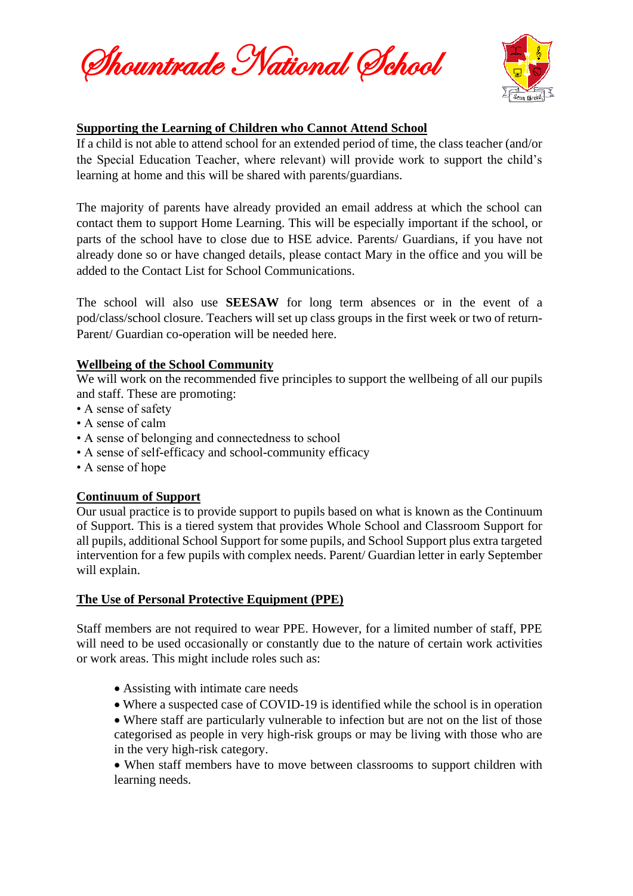Shountrade National School



# **Supporting the Learning of Children who Cannot Attend School**

If a child is not able to attend school for an extended period of time, the class teacher (and/or the Special Education Teacher, where relevant) will provide work to support the child's learning at home and this will be shared with parents/guardians.

The majority of parents have already provided an email address at which the school can contact them to support Home Learning. This will be especially important if the school, or parts of the school have to close due to HSE advice. Parents/ Guardians, if you have not already done so or have changed details, please contact Mary in the office and you will be added to the Contact List for School Communications.

The school will also use **SEESAW** for long term absences or in the event of a pod/class/school closure. Teachers will set up class groups in the first week or two of return-Parent/ Guardian co-operation will be needed here.

# **Wellbeing of the School Community**

We will work on the recommended five principles to support the wellbeing of all our pupils and staff. These are promoting:

- A sense of safety
- A sense of calm
- A sense of belonging and connectedness to school
- A sense of self-efficacy and school-community efficacy
- A sense of hope

# **Continuum of Support**

Our usual practice is to provide support to pupils based on what is known as the Continuum of Support. This is a tiered system that provides Whole School and Classroom Support for all pupils, additional School Support for some pupils, and School Support plus extra targeted intervention for a few pupils with complex needs. Parent/ Guardian letter in early September will explain.

# **The Use of Personal Protective Equipment (PPE)**

Staff members are not required to wear PPE. However, for a limited number of staff, PPE will need to be used occasionally or constantly due to the nature of certain work activities or work areas. This might include roles such as:

- Assisting with intimate care needs
- Where a suspected case of COVID-19 is identified while the school is in operation
- Where staff are particularly vulnerable to infection but are not on the list of those categorised as people in very high-risk groups or may be living with those who are in the very high-risk category.

• When staff members have to move between classrooms to support children with learning needs.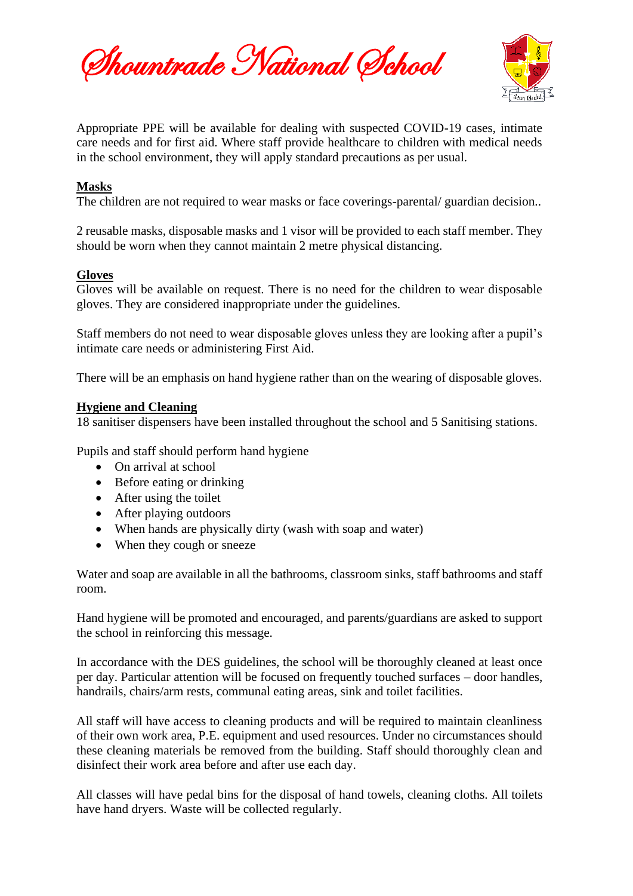Shountrade National School



Appropriate PPE will be available for dealing with suspected COVID-19 cases, intimate care needs and for first aid. Where staff provide healthcare to children with medical needs in the school environment, they will apply standard precautions as per usual.

### **Masks**

The children are not required to wear masks or face coverings-parental/ guardian decision..

2 reusable masks, disposable masks and 1 visor will be provided to each staff member. They should be worn when they cannot maintain 2 metre physical distancing.

### **Gloves**

Gloves will be available on request. There is no need for the children to wear disposable gloves. They are considered inappropriate under the guidelines.

Staff members do not need to wear disposable gloves unless they are looking after a pupil's intimate care needs or administering First Aid.

There will be an emphasis on hand hygiene rather than on the wearing of disposable gloves.

### **Hygiene and Cleaning**

18 sanitiser dispensers have been installed throughout the school and 5 Sanitising stations.

Pupils and staff should perform hand hygiene

- On arrival at school
- Before eating or drinking
- After using the toilet
- After playing outdoors
- When hands are physically dirty (wash with soap and water)
- When they cough or sneeze

Water and soap are available in all the bathrooms, classroom sinks, staff bathrooms and staff room.

Hand hygiene will be promoted and encouraged, and parents/guardians are asked to support the school in reinforcing this message.

In accordance with the DES guidelines, the school will be thoroughly cleaned at least once per day. Particular attention will be focused on frequently touched surfaces – door handles, handrails, chairs/arm rests, communal eating areas, sink and toilet facilities.

All staff will have access to cleaning products and will be required to maintain cleanliness of their own work area, P.E. equipment and used resources. Under no circumstances should these cleaning materials be removed from the building. Staff should thoroughly clean and disinfect their work area before and after use each day.

All classes will have pedal bins for the disposal of hand towels, cleaning cloths. All toilets have hand dryers. Waste will be collected regularly.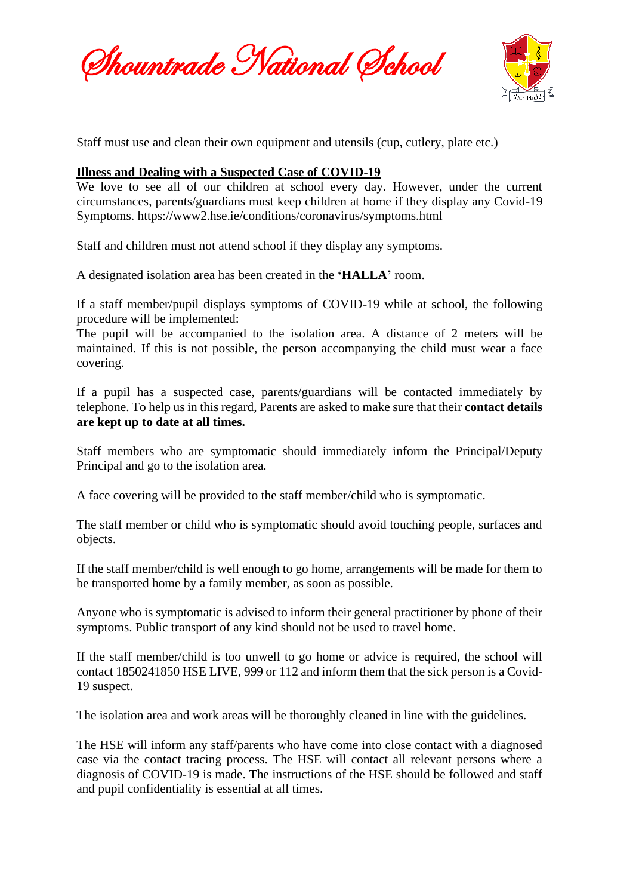Shountrade National School



Staff must use and clean their own equipment and utensils (cup, cutlery, plate etc.)

#### **Illness and Dealing with a Suspected Case of COVID-19**

We love to see all of our children at school every day. However, under the current circumstances, parents/guardians must keep children at home if they display any Covid-19 Symptoms.<https://www2.hse.ie/conditions/coronavirus/symptoms.html>

Staff and children must not attend school if they display any symptoms.

A designated isolation area has been created in the **'HALLA'** room.

If a staff member/pupil displays symptoms of COVID-19 while at school, the following procedure will be implemented:

The pupil will be accompanied to the isolation area. A distance of 2 meters will be maintained. If this is not possible, the person accompanying the child must wear a face covering.

If a pupil has a suspected case, parents/guardians will be contacted immediately by telephone. To help us in this regard, Parents are asked to make sure that their **contact details are kept up to date at all times.**

Staff members who are symptomatic should immediately inform the Principal/Deputy Principal and go to the isolation area.

A face covering will be provided to the staff member/child who is symptomatic.

The staff member or child who is symptomatic should avoid touching people, surfaces and objects.

If the staff member/child is well enough to go home, arrangements will be made for them to be transported home by a family member, as soon as possible.

Anyone who is symptomatic is advised to inform their general practitioner by phone of their symptoms. Public transport of any kind should not be used to travel home.

If the staff member/child is too unwell to go home or advice is required, the school will contact 1850241850 HSE LIVE, 999 or 112 and inform them that the sick person is a Covid-19 suspect.

The isolation area and work areas will be thoroughly cleaned in line with the guidelines.

The HSE will inform any staff/parents who have come into close contact with a diagnosed case via the contact tracing process. The HSE will contact all relevant persons where a diagnosis of COVID-19 is made. The instructions of the HSE should be followed and staff and pupil confidentiality is essential at all times.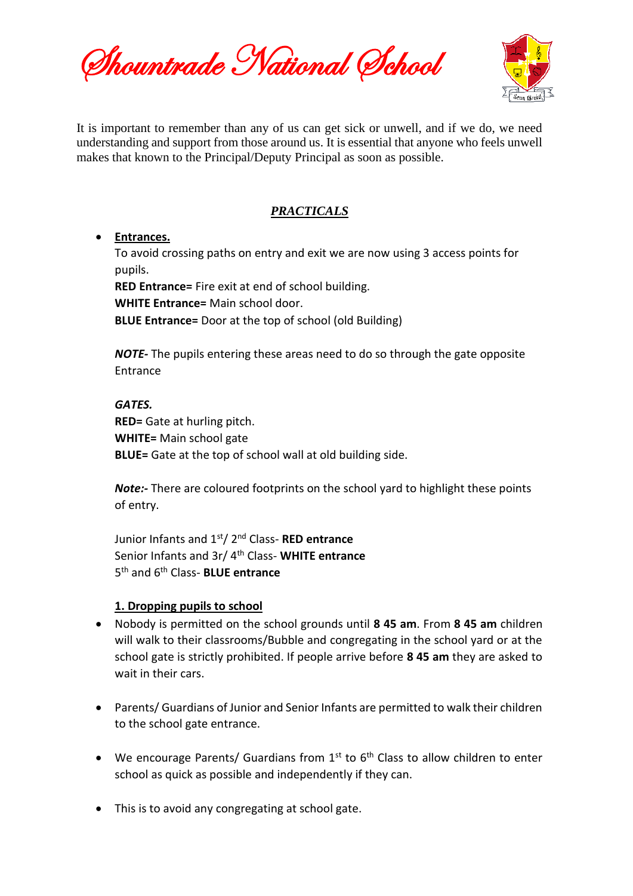Shountrade National School



It is important to remember than any of us can get sick or unwell, and if we do, we need understanding and support from those around us. It is essential that anyone who feels unwell makes that known to the Principal/Deputy Principal as soon as possible.

# *PRACTICALS*

### • **Entrances.**

To avoid crossing paths on entry and exit we are now using 3 access points for pupils.

**RED Entrance=** Fire exit at end of school building.

**WHITE Entrance=** Main school door.

**BLUE Entrance=** Door at the top of school (old Building)

*NOTE-* The pupils entering these areas need to do so through the gate opposite **Entrance** 

### *GATES.*

**RED=** Gate at hurling pitch. **WHITE=** Main school gate **BLUE=** Gate at the top of school wall at old building side.

*Note:-* There are coloured footprints on the school yard to highlight these points of entry.

Junior Infants and 1st/ 2nd Class- **RED entrance** Senior Infants and 3r/ 4th Class- **WHITE entrance** 5 th and 6th Class- **BLUE entrance**

# **1. Dropping pupils to school**

- Nobody is permitted on the school grounds until **8 45 am**. From **8 45 am** children will walk to their classrooms/Bubble and congregating in the school yard or at the school gate is strictly prohibited. If people arrive before **8 45 am** they are asked to wait in their cars.
- Parents/ Guardians of Junior and Senior Infants are permitted to walk their children to the school gate entrance.
- We encourage Parents/ Guardians from  $1<sup>st</sup>$  to  $6<sup>th</sup>$  Class to allow children to enter school as quick as possible and independently if they can.
- This is to avoid any congregating at school gate.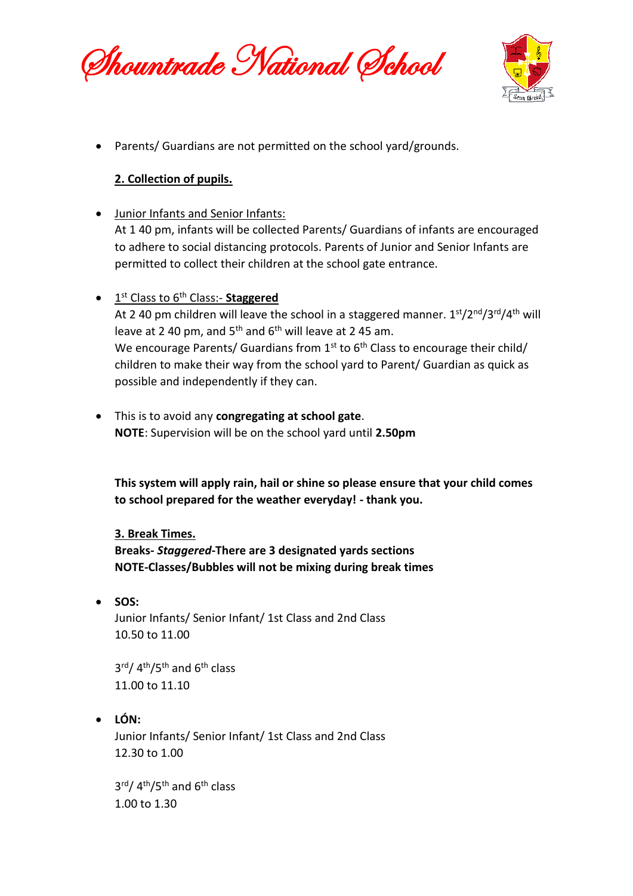Shountrade National School



• Parents/ Guardians are not permitted on the school yard/grounds.

# **2. Collection of pupils.**

- Junior Infants and Senior Infants: At 1 40 pm, infants will be collected Parents/ Guardians of infants are encouraged to adhere to social distancing protocols. Parents of Junior and Senior Infants are permitted to collect their children at the school gate entrance.
- **•** 1<sup>st</sup> Class to 6<sup>th</sup> Class:- **Staggered**

At 2 40 pm children will leave the school in a staggered manner.  $1<sup>st</sup>/2<sup>nd</sup>/3<sup>rd</sup>/4<sup>th</sup>$  will leave at 2 40 pm, and  $5<sup>th</sup>$  and  $6<sup>th</sup>$  will leave at 2 45 am. We encourage Parents/ Guardians from  $1^{st}$  to  $6^{th}$  Class to encourage their child/ children to make their way from the school yard to Parent/ Guardian as quick as possible and independently if they can.

• This is to avoid any **congregating at school gate**. **NOTE**: Supervision will be on the school yard until **2.50pm**

**This system will apply rain, hail or shine so please ensure that your child comes to school prepared for the weather everyday! - thank you.**

# **3. Break Times.**

**Breaks-** *Staggered***-There are 3 designated yards sections NOTE-Classes/Bubbles will not be mixing during break times**

• **SOS:**

Junior Infants/ Senior Infant/ 1st Class and 2nd Class 10.50 to 11.00

3<sup>rd</sup>/ 4<sup>th</sup>/5<sup>th</sup> and 6<sup>th</sup> class 11.00 to 11.10

• **LÓN:**

Junior Infants/ Senior Infant/ 1st Class and 2nd Class 12.30 to 1.00

3<sup>rd</sup>/ 4<sup>th</sup>/5<sup>th</sup> and 6<sup>th</sup> class 1.00 to 1.30